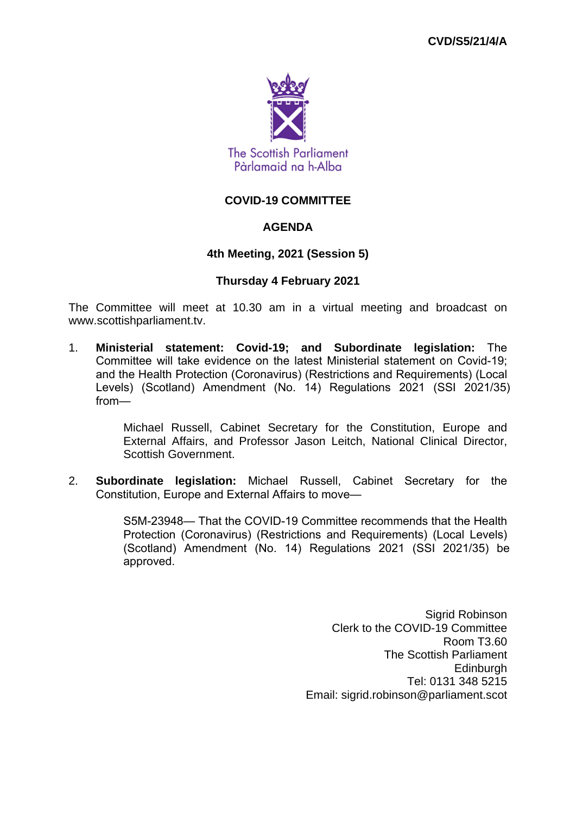

# **COVID-19 COMMITTEE**

# **AGENDA**

## **4th Meeting, 2021 (Session 5)**

### **Thursday 4 February 2021**

The Committee will meet at 10.30 am in a virtual meeting and broadcast on www.scottishparliament.tv.

1. **Ministerial statement: Covid-19; and Subordinate legislation:** The Committee will take evidence on the latest Ministerial statement on Covid-19; and the Health Protection (Coronavirus) (Restrictions and Requirements) (Local Levels) (Scotland) Amendment (No. 14) Regulations 2021 (SSI 2021/35) from—

> Michael Russell, Cabinet Secretary for the Constitution, Europe and External Affairs, and Professor Jason Leitch, National Clinical Director, Scottish Government.

2. **Subordinate legislation:** Michael Russell, Cabinet Secretary for the Constitution, Europe and External Affairs to move—

> S5M-23948— That the COVID-19 Committee recommends that the Health Protection (Coronavirus) (Restrictions and Requirements) (Local Levels) (Scotland) Amendment (No. 14) Regulations 2021 (SSI 2021/35) be approved.

> > Sigrid Robinson Clerk to the COVID-19 Committee Room T3.60 The Scottish Parliament **Edinburgh** Tel: 0131 348 5215 Email: sigrid.robinson@parliament.scot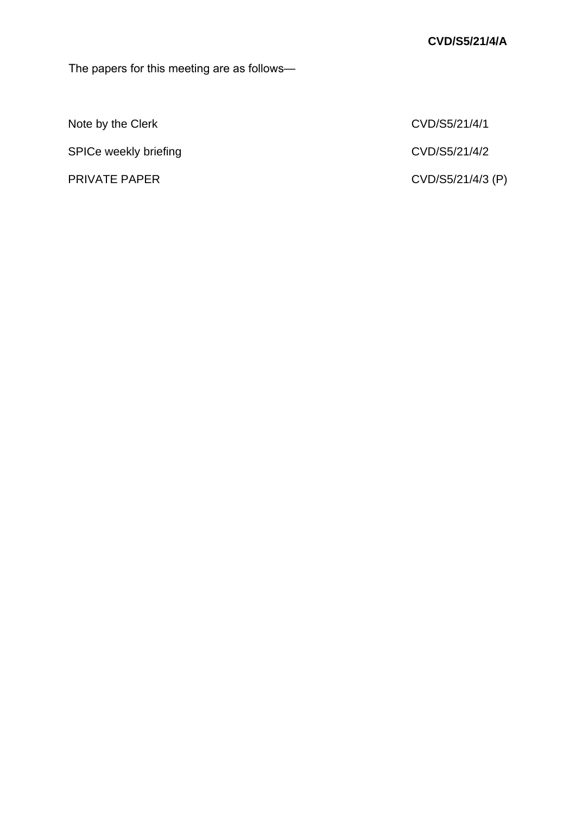The papers for this meeting are as follows—

Note by the Clerk CVD/S5/21/4/1

SPICe weekly briefing and the contract of the CVD/S5/21/4/2

PRIVATE PAPER CVD/S5/21/4/3 (P)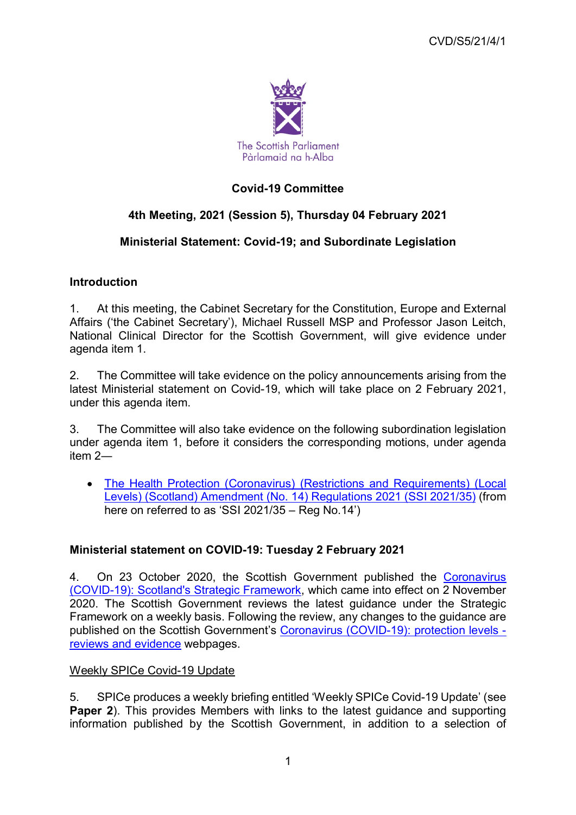

# **Covid-19 Committee**

# **4th Meeting, 2021 (Session 5), Thursday 04 February 2021**

# **Ministerial Statement: Covid-19; and Subordinate Legislation**

# **Introduction**

1. At this meeting, the Cabinet Secretary for the Constitution, Europe and External Affairs ('the Cabinet Secretary'), Michael Russell MSP and Professor Jason Leitch, National Clinical Director for the Scottish Government, will give evidence under agenda item 1.

2. The Committee will take evidence on the policy announcements arising from the latest Ministerial statement on Covid-19, which will take place on 2 February 2021, under this agenda item.

3. The Committee will also take evidence on the following subordination legislation under agenda item 1, before it considers the corresponding motions, under agenda item 2―

• [The Health Protection \(Coronavirus\) \(Restrictions and Requirements\) \(Local](https://www.legislation.gov.uk/ssi/2021/35/contents/made)  [Levels\) \(Scotland\) Amendment \(No. 14\) Regulations 2021 \(SSI 2021/35\)](https://www.legislation.gov.uk/ssi/2021/35/contents/made) (from here on referred to as 'SSI 2021/35 – Reg No.14')

# **Ministerial statement on COVID-19: Tuesday 2 February 2021**

4. On 23 October 2020, the Scottish Government published the [Coronavirus](https://www.gov.scot/publications/covid-19-scotlands-strategic-framework/)  [\(COVID-19\): Scotland's Strategic Framework,](https://www.gov.scot/publications/covid-19-scotlands-strategic-framework/) which came into effect on 2 November 2020. The Scottish Government reviews the latest guidance under the Strategic Framework on a weekly basis. Following the review, any changes to the guidance are published on the Scottish Government's [Coronavirus \(COVID-19\): protection levels](https://www.gov.scot/collections/coronavirus-covid-19-protection-levels-reviews-and-evidence/)  [reviews and evidence](https://www.gov.scot/collections/coronavirus-covid-19-protection-levels-reviews-and-evidence/) webpages.

## Weekly SPICe Covid-19 Update

5. SPICe produces a weekly briefing entitled 'Weekly SPICe Covid-19 Update' (see **Paper 2**). This provides Members with links to the latest guidance and supporting information published by the Scottish Government, in addition to a selection of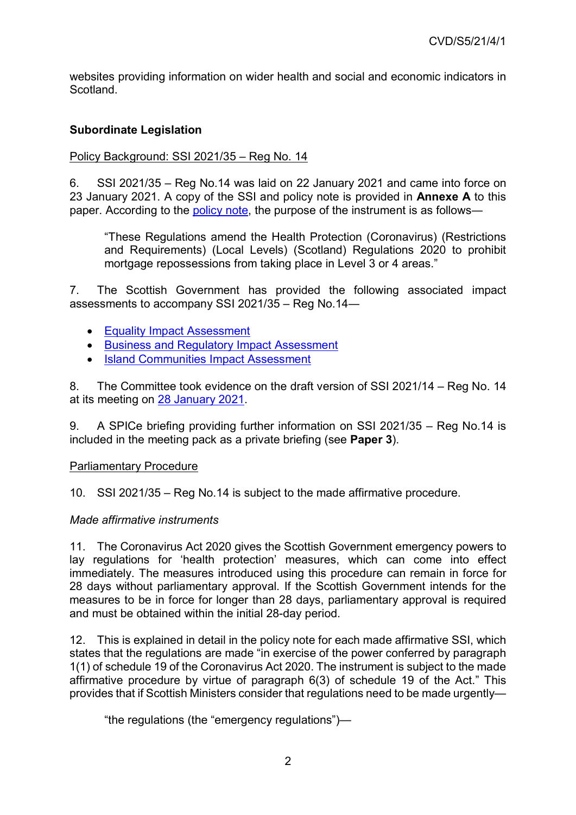websites providing information on wider health and social and economic indicators in Scotland.

# **Subordinate Legislation**

# Policy Background: SSI 2021/35 - Reg No. 14

6. SSI 2021/35 – Reg No.14 was laid on 22 January 2021 and came into force on 23 January 2021. A copy of the SSI and policy note is provided in **Annexe A** to this paper. According to the [policy note](https://www.legislation.gov.uk/ssi/2021/35/pdfs/ssipn_20210035_en.pdf), the purpose of the instrument is as follows—

"These Regulations amend the Health Protection (Coronavirus) (Restrictions and Requirements) (Local Levels) (Scotland) Regulations 2020 to prohibit mortgage repossessions from taking place in Level 3 or 4 areas."

7. The Scottish Government has provided the following associated impact assessments to accompany SSI 2021/35 – Reg No.14―

- [Equality Impact Assessment](https://www.legislation.gov.uk/ssi/2021/35/pdfs/ssieqia_20210035_en.pdf)
- [Business and Regulatory Impact Assessment](https://www.legislation.gov.uk/ssi/2021/35/pdfs/ssifia_20210035_en.pdf)
- [Island Communities Impact Assessment](https://www.legislation.gov.uk/ssi/2021/35/pdfs/ssifia_20210035_en_001.pdf)

8. The Committee took evidence on the draft version of SSI 2021/14 – Reg No. 14 at its meeting on [28 January 2021.](http://www.parliament.scot/parliamentarybusiness/report.aspx?r=13086)

9. A SPICe briefing providing further information on SSI 2021/35 – Reg No.14 is included in the meeting pack as a private briefing (see **Paper 3**).

## Parliamentary Procedure

10. SSI 2021/35 – Reg No.14 is subject to the made affirmative procedure.

## *Made affirmative instruments*

11. The Coronavirus Act 2020 gives the Scottish Government emergency powers to lay regulations for 'health protection' measures, which can come into effect immediately. The measures introduced using this procedure can remain in force for 28 days without parliamentary approval. If the Scottish Government intends for the measures to be in force for longer than 28 days, parliamentary approval is required and must be obtained within the initial 28-day period.

12. This is explained in detail in the policy note for each made affirmative SSI, which states that the regulations are made "in exercise of the power conferred by paragraph 1(1) of schedule 19 of the Coronavirus Act 2020. The instrument is subject to the made affirmative procedure by virtue of paragraph 6(3) of schedule 19 of the Act." This provides that if Scottish Ministers consider that regulations need to be made urgently—

"the regulations (the "emergency regulations")—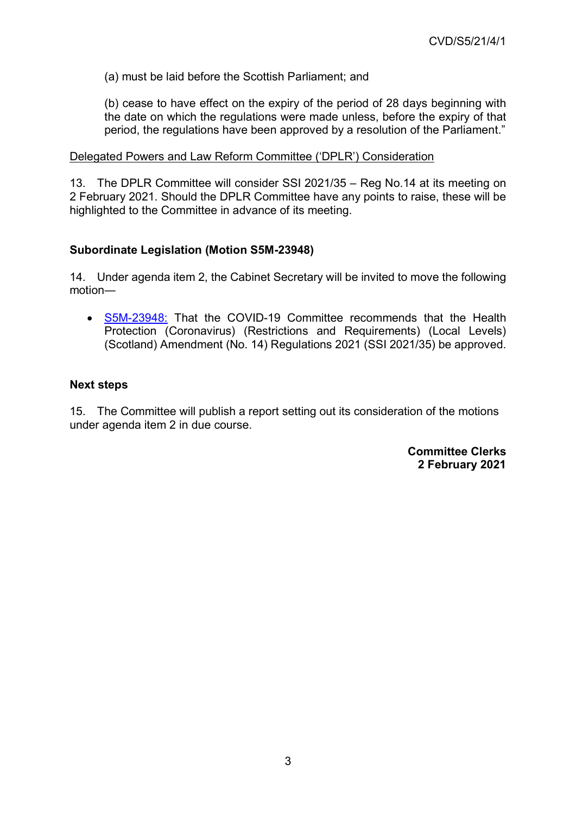(a) must be laid before the Scottish Parliament; and

(b) cease to have effect on the expiry of the period of 28 days beginning with the date on which the regulations were made unless, before the expiry of that period, the regulations have been approved by a resolution of the Parliament."

### Delegated Powers and Law Reform Committee ('DPLR') Consideration

13. The DPLR Committee will consider SSI 2021/35 – Reg No.14 at its meeting on 2 February 2021. Should the DPLR Committee have any points to raise, these will be highlighted to the Committee in advance of its meeting.

## **Subordinate Legislation (Motion S5M-23948)**

14. Under agenda item 2, the Cabinet Secretary will be invited to move the following motion―

• [S5M-23948:](https://www.parliament.scot/parliamentarybusiness/28877.aspx?SearchType=Advance&ReferenceNumbers=S5M-23948&ResultsPerPage=10) That the COVID-19 Committee recommends that the Health Protection (Coronavirus) (Restrictions and Requirements) (Local Levels) (Scotland) Amendment (No. 14) Regulations 2021 (SSI 2021/35) be approved.

### **Next steps**

15. The Committee will publish a report setting out its consideration of the motions under agenda item 2 in due course.

> **Committee Clerks 2 February 2021**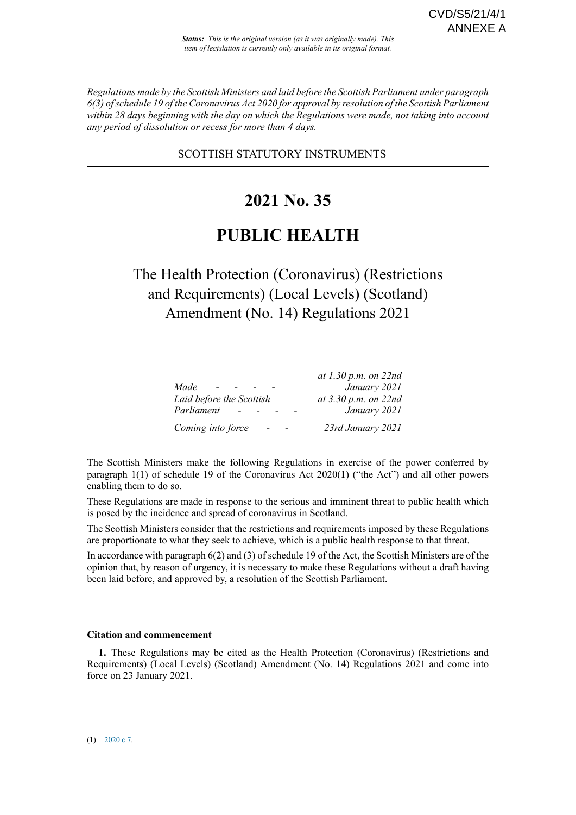*Regulations made by the Scottish Ministers and laid before the Scottish Parliament under paragraph 6(3) of schedule 19 of the Coronavirus Act 2020 for approval by resolution of the Scottish Parliament within 28 days beginning with the day on which the Regulations were made, not taking into account any period of dissolution or recess for more than 4 days.*

### SCOTTISH STATUTORY INSTRUMENTS

# **2021 No. 35**

# **PUBLIC HEALTH**

# The Health Protection (Coronavirus) (Restrictions and Requirements) (Local Levels) (Scotland) Amendment (No. 14) Regulations 2021

|                          | at 1.30 p.m. on $22nd$   |
|--------------------------|--------------------------|
| Made<br><b>Service</b>   | January 2021             |
| Laid before the Scottish | at $3.30 p.m.$ on $22nd$ |
| Parliament               | January 2021             |
| Coming into force        | 23rd January 2021        |

The Scottish Ministers make the following Regulations in exercise of the power conferred by paragraph 1(1) of schedule 19 of the Coronavirus Act 2020(**1**) ("the Act") and all other powers enabling them to do so.

These Regulations are made in response to the serious and imminent threat to public health which is posed by the incidence and spread of coronavirus in Scotland.

The Scottish Ministers consider that the restrictions and requirements imposed by these Regulations are proportionate to what they seek to achieve, which is a public health response to that threat.

In accordance with paragraph 6(2) and (3) of schedule 19 of the Act, the Scottish Ministers are of the opinion that, by reason of urgency, it is necessary to make these Regulations without a draft having been laid before, and approved by, a resolution of the Scottish Parliament.

#### **Citation and commencement**

**1.** These Regulations may be cited as the Health Protection (Coronavirus) (Restrictions and Requirements) (Local Levels) (Scotland) Amendment (No. 14) Regulations 2021 and come into force on 23 January 2021.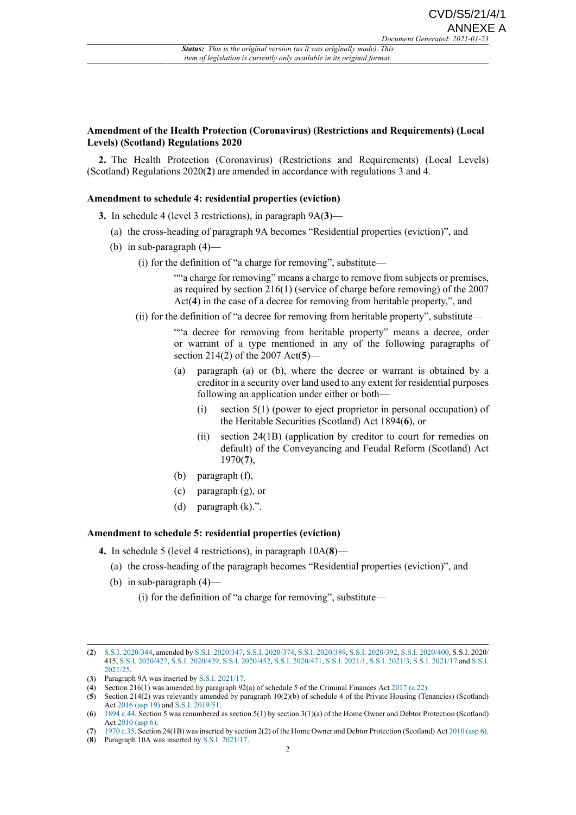#### **Amendment of the Health Protection (Coronavirus) (Restrictions and Requirements) (Local Levels) (Scotland) Regulations 2020**

**2.** The Health Protection (Coronavirus) (Restrictions and Requirements) (Local Levels) (Scotland) Regulations 2020(**2**) are amended in accordance with regulations 3 and 4.

#### **Amendment to schedule 4: residential properties (eviction)**

- **3.** In schedule 4 (level 3 restrictions), in paragraph 9A(**3**)—
	- (a) the cross-heading of paragraph 9A becomes "Residential properties (eviction)", and
	- (b) in sub-paragraph  $(4)$ 
		- (i) for the definition of "a charge for removing", substitute—

""a charge for removing" means a charge to remove from subjects or premises, as required by section 216(1) (service of charge before removing) of the 2007 Act(**4**) in the case of a decree for removing from heritable property,", and

(ii) for the definition of "a decree for removing from heritable property", substitute—

""a decree for removing from heritable property" means a decree, order or warrant of a type mentioned in any of the following paragraphs of section 214(2) of the 2007 Act(**5**)—

- (a) paragraph (a) or (b), where the decree or warrant is obtained by a creditor in a security over land used to any extent for residential purposes following an application under either or both—
	- (i) section 5(1) (power to eject proprietor in personal occupation) of the Heritable Securities (Scotland) Act 1894(**6**), or
	- (ii) section 24(1B) (application by creditor to court for remedies on default) of the Conveyancing and Feudal Reform (Scotland) Act 1970(**7**),
- (b) paragraph (f),
- (c) paragraph (g), or
- (d) paragraph (k).".

#### **Amendment to schedule 5: residential properties (eviction)**

- **4.** In schedule 5 (level 4 restrictions), in paragraph 10A(**8**)—
	- (a) the cross-heading of the paragraph becomes "Residential properties (eviction)", and
	- (b) in sub-paragraph (4)—
		- (i) for the definition of "a charge for removing", substitute—

<sup>(</sup>**2**) [S.S.I. 2020/344,](http://www.legislation.gov.uk/id/ssi/2020/344) amended by [S.S.I. 2020/347](http://www.legislation.gov.uk/id/ssi/2020/347), [S.S.I. 2020/374](http://www.legislation.gov.uk/id/ssi/2020/374), [S.S.I. 2020/389,](http://www.legislation.gov.uk/id/ssi/2020/389) [S.S.I. 2020/392,](http://www.legislation.gov.uk/id/ssi/2020/392) [S.S.I. 2020/400](http://www.legislation.gov.uk/id/ssi/2020/400), S.S.I. 2020/ 415, [S.S.I. 2020/427](http://www.legislation.gov.uk/id/ssi/2020/427), [S.S.I. 2020/439](http://www.legislation.gov.uk/id/ssi/2020/439), [S.S.I. 2020/452,](http://www.legislation.gov.uk/id/ssi/2020/452) [S.S.I. 2020/471,](http://www.legislation.gov.uk/id/ssi/2020/471) [S.S.I. 2021/1](http://www.legislation.gov.uk/id/ssi/2021/1), [S.S.I. 2021/3](http://www.legislation.gov.uk/id/ssi/2021/3), [S.S.I. 2021/17](http://www.legislation.gov.uk/id/ssi/2021/17) and [S.S.I.](http://www.legislation.gov.uk/id/ssi/2021/25) [2021/25](http://www.legislation.gov.uk/id/ssi/2021/25).

<sup>(</sup>**3**) Paragraph 9A was inserted by [S.S.I. 2021/17.](http://www.legislation.gov.uk/id/ssi/2021/17)

<sup>(</sup>**4**) Section 216(1) was amended by paragraph 92(a) of schedule 5 of the Criminal Finances Act [2017 \(c.22\).](http://www.legislation.gov.uk/id/ukpga/2017/22)

<sup>(</sup>**5**) Section 214(2) was relevantly amended by paragraph 10(2)(b) of schedule 4 of the Private Housing (Tenancies) (Scotland) Act [2016 \(asp 19\)](http://www.legislation.gov.uk/id/asp/2016/19) and [S.S.I. 2019/51.](http://www.legislation.gov.uk/id/ssi/2019/51)

<sup>(</sup>**6**) [1894 c.44](http://www.legislation.gov.uk/id/ukpga/1894/44). Section 5 was renumbered as section 5(1) by section 3(1)(a) of the Home Owner and Debtor Protection (Scotland) Act [2010 \(asp 6\).](http://www.legislation.gov.uk/id/asp/2010/6)

<sup>(</sup>**7**) [1970 c.35](http://www.legislation.gov.uk/id/ukpga/1970/35). Section 24(1B) was inserted by section 2(2) of the Home Owner and Debtor Protection (Scotland) Act [2010 \(asp 6\)](http://www.legislation.gov.uk/id/asp/2010/6).

<sup>(</sup>**8**) Paragraph 10A was inserted by [S.S.I. 2021/17.](http://www.legislation.gov.uk/id/ssi/2021/17)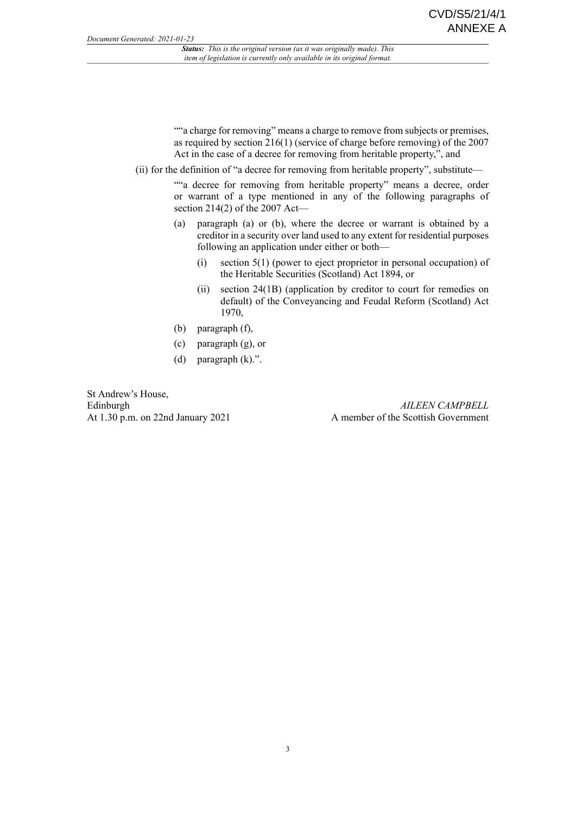""a charge for removing" means a charge to remove from subjects or premises, as required by section 216(1) (service of charge before removing) of the 2007 Act in the case of a decree for removing from heritable property,", and

(ii) for the definition of "a decree for removing from heritable property", substitute—

""a decree for removing from heritable property" means a decree, order or warrant of a type mentioned in any of the following paragraphs of section 214(2) of the  $2007$  Act—

- (a) paragraph (a) or (b), where the decree or warrant is obtained by a creditor in a security over land used to any extent for residential purposes following an application under either or both—
	- (i) section 5(1) (power to eject proprietor in personal occupation) of the Heritable Securities (Scotland) Act 1894, or
	- (ii) section 24(1B) (application by creditor to court for remedies on default) of the Conveyancing and Feudal Reform (Scotland) Act 1970,
- (b) paragraph (f),
- (c) paragraph (g), or
- (d) paragraph (k).".

St Andrew's House, Edinburgh At 1.30 p.m. on 22nd January 2021

*AILEEN CAMPBELL* A member of the Scottish Government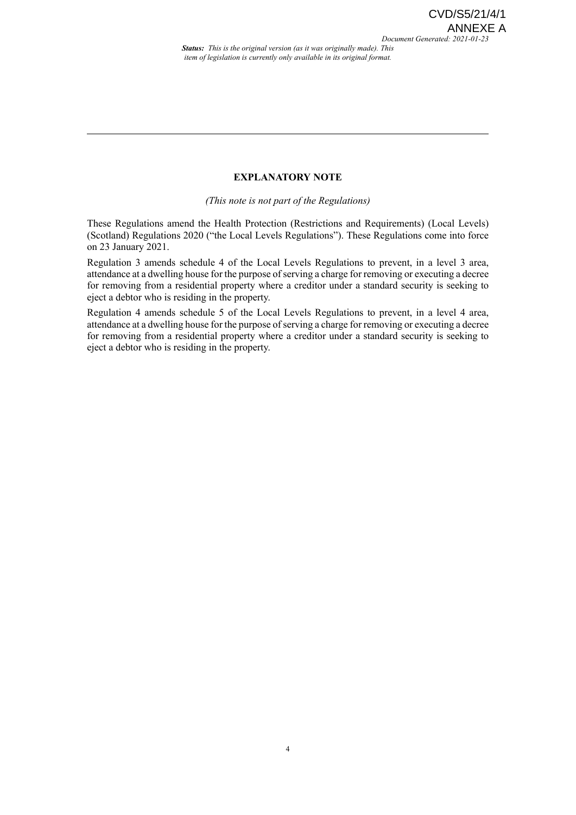*Status: This is the original version (as it was originally made). This item of legislation is currently only available in its original format.*

#### **EXPLANATORY NOTE**

*(This note is not part of the Regulations)*

These Regulations amend the Health Protection (Restrictions and Requirements) (Local Levels) (Scotland) Regulations 2020 ("the Local Levels Regulations"). These Regulations come into force on 23 January 2021.

Regulation 3 amends schedule 4 of the Local Levels Regulations to prevent, in a level 3 area, attendance at a dwelling house for the purpose of serving a charge for removing or executing a decree for removing from a residential property where a creditor under a standard security is seeking to eject a debtor who is residing in the property.

Regulation 4 amends schedule 5 of the Local Levels Regulations to prevent, in a level 4 area, attendance at a dwelling house for the purpose of serving a charge for removing or executing a decree for removing from a residential property where a creditor under a standard security is seeking to eject a debtor who is residing in the property.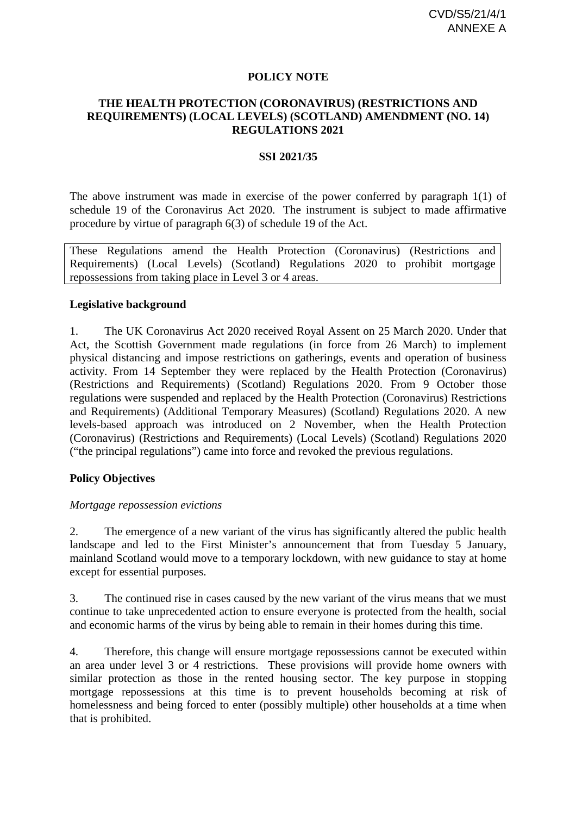### **POLICY NOTE**

### **THE HEALTH PROTECTION (CORONAVIRUS) (RESTRICTIONS AND REQUIREMENTS) (LOCAL LEVELS) (SCOTLAND) AMENDMENT (NO. 14) REGULATIONS 2021**

### **SSI 2021/35**

The above instrument was made in exercise of the power conferred by paragraph 1(1) of schedule 19 of the Coronavirus Act 2020. The instrument is subject to made affirmative procedure by virtue of paragraph 6(3) of schedule 19 of the Act.

These Regulations amend the Health Protection (Coronavirus) (Restrictions and Requirements) (Local Levels) (Scotland) Regulations 2020 to prohibit mortgage repossessions from taking place in Level 3 or 4 areas.

### **Legislative background**

1. The UK Coronavirus Act 2020 received Royal Assent on 25 March 2020. Under that Act, the Scottish Government made regulations (in force from 26 March) to implement physical distancing and impose restrictions on gatherings, events and operation of business activity. From 14 September they were replaced by the Health Protection (Coronavirus) (Restrictions and Requirements) (Scotland) Regulations 2020. From 9 October those regulations were suspended and replaced by the Health Protection (Coronavirus) Restrictions and Requirements) (Additional Temporary Measures) (Scotland) Regulations 2020. A new levels-based approach was introduced on 2 November, when the Health Protection (Coronavirus) (Restrictions and Requirements) (Local Levels) (Scotland) Regulations 2020 ("the principal regulations") came into force and revoked the previous regulations.

### **Policy Objectives**

#### *Mortgage repossession evictions*

2. The emergence of a new variant of the virus has significantly altered the public health landscape and led to the First Minister's announcement that from Tuesday 5 January, mainland Scotland would move to a temporary lockdown, with new guidance to stay at home except for essential purposes.

3. The continued rise in cases caused by the new variant of the virus means that we must continue to take unprecedented action to ensure everyone is protected from the health, social and economic harms of the virus by being able to remain in their homes during this time.

4. Therefore, this change will ensure mortgage repossessions cannot be executed within an area under level 3 or 4 restrictions. These provisions will provide home owners with similar protection as those in the rented housing sector. The key purpose in stopping mortgage repossessions at this time is to prevent households becoming at risk of homelessness and being forced to enter (possibly multiple) other households at a time when that is prohibited.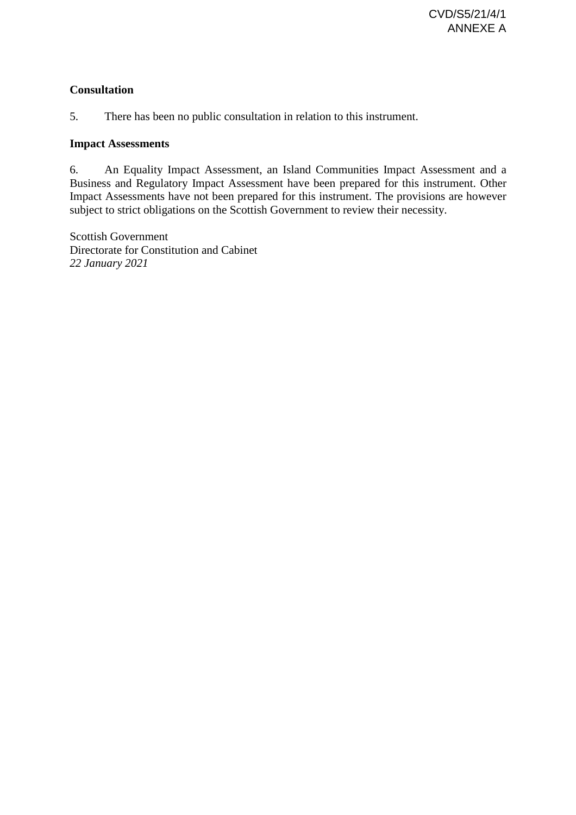# **Consultation**

5. There has been no public consultation in relation to this instrument.

## **Impact Assessments**

6. An Equality Impact Assessment, an Island Communities Impact Assessment and a Business and Regulatory Impact Assessment have been prepared for this instrument. Other Impact Assessments have not been prepared for this instrument. The provisions are however subject to strict obligations on the Scottish Government to review their necessity.

Scottish Government Directorate for Constitution and Cabinet *22 January 2021*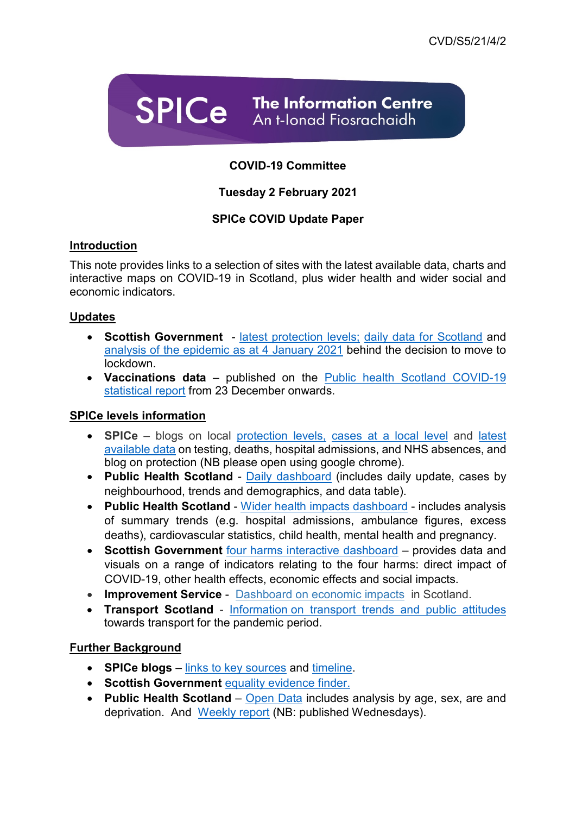

# **COVID-19 Committee**

# **Tuesday 2 February 2021**

# **SPICe COVID Update Paper**

# **Introduction**

This note provides links to a selection of sites with the latest available data, charts and interactive maps on COVID-19 in Scotland, plus wider health and wider social and economic indicators.

# **Updates**

- **Scottish Government** [latest protection levels;](https://www.gov.scot/publications/coronavirus-covid-19-protection-levels/) [daily data for Scotland](https://www.gov.scot/publications/coronavirus-covid-19-daily-data-for-scotland/) and [analysis of the epidemic as at 4 January 2021](https://www.gov.scot/publications/coronavirus-covid-19-state-of-the-epidemic-in-scotland-4-january-2021/) behind the decision to move to lockdown.
- **Vaccinations data** published on the [Public health Scotland COVID-19](https://beta.isdscotland.org/find-publications-and-data/population-health/covid-19/)  [statistical report](https://beta.isdscotland.org/find-publications-and-data/population-health/covid-19/) from 23 December onwards.

# **SPICe levels information**

- **SPICe** blogs on local [protection levels,](https://spice-spotlight.scot/2020/11/02/coronavirus-covid-19-protection-levels/) [cases at a local level](https://spice-spotlight.scot/2021/01/19/coronavirus-covid-19-which-neighbourhoods-have-the-most-cases/) and [latest](https://spice-spotlight.scot/2020/11/06/coronavirus-covid-19-in-scotland-latest-data/)  [available data](https://spice-spotlight.scot/2020/11/06/coronavirus-covid-19-in-scotland-latest-data/) on testing, deaths, hospital admissions, and NHS absences, and blog on protection (NB please open using google chrome).
- **Public Health Scotland** [Daily dashboard](https://www.publichealthscotland.scot/our-areas-of-work/covid-19/) (includes daily update, cases by neighbourhood, trends and demographics, and data table).
- **Public Health Scotland** [Wider health impacts dashboard](https://scotland.shinyapps.io/phs-covid-wider-impact/) includes analysis of summary trends (e.g. hospital admissions, ambulance figures, excess deaths), cardiovascular statistics, child health, mental health and pregnancy.
- **Scottish Government** [four harms interactive dashboard](https://data.gov.scot/coronavirus-covid-19/) provides data and visuals on a range of indicators relating to the four harms: direct impact of COVID-19, other health effects, economic effects and social impacts.
- **Improvement Service** [Dashboard on economic impacts](https://scotland.shinyapps.io/is-covid-economic-impact) in Scotland.
- **Transport Scotland** Information [on transport trends and public attitudes](https://www.transport.gov.scot/publications/) towards transport for the pandemic period.

# **Further Background**

- **SPICe blogs** [links to key sources](https://spice-spotlight.scot/2020/11/06/coronavirus-covid-19-constituency-support-updated-19-march-2020/) and [timeline.](https://spice-spotlight.scot/2020/11/06/timeline-of-coronavirus-covid-19-in-scotland/)
- **Scottish Government** [equality evidence finder.](http://www.equalityevidence.scot/)
- **Public Health Scotland** [Open Data](https://www.opendata.nhs.scot/dataset/covid-19-in-scotland) includes analysis by age, sex, are and deprivation. And [Weekly report](https://beta.isdscotland.org/find-publications-and-data/population-health/covid-19/covid-19-statistical-report/) (NB: published Wednesdays).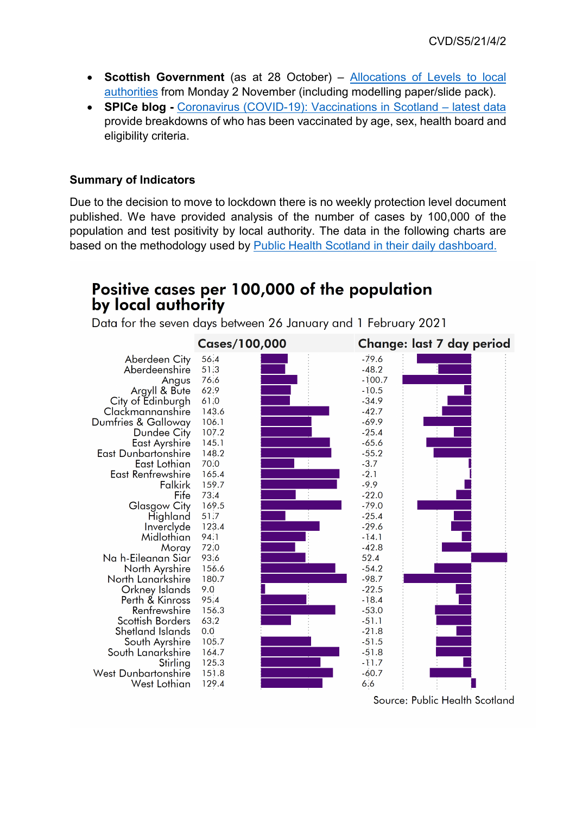- **Scottish Government** (as at 28 October) [Allocations of Levels to local](https://www.gov.scot/publications/coronavirus-covid-19-allocation-of-levels-to-local-authorities/)  [authorities](https://www.gov.scot/publications/coronavirus-covid-19-allocation-of-levels-to-local-authorities/) from Monday 2 November (including modelling paper/slide pack).
- **SPICe blog -** [Coronavirus \(COVID-19\): Vaccinations in Scotland –](https://spice-spotlight.scot/2021/01/25/coronavirus-covid-19-vaccinations-in-scotland-latest-data/) latest data provide breakdowns of who has been vaccinated by age, sex, health board and eligibility criteria.

# **Summary of Indicators**

Due to the decision to move to lockdown there is no weekly protection level document published. We have provided analysis of the number of cases by 100,000 of the population and test positivity by local authority. The data in the following charts are based on the methodology used by [Public Health Scotland in their](https://public.tableau.com/profile/phs.covid.19#!/vizhome/COVID-19DailyDashboard_15960160643010/Overview) daily dashboard.

# Positive cases per 100,000 of the population by local authority

Data for the seven days between 26 January and 1 February 2021



Source: Public Health Scotland